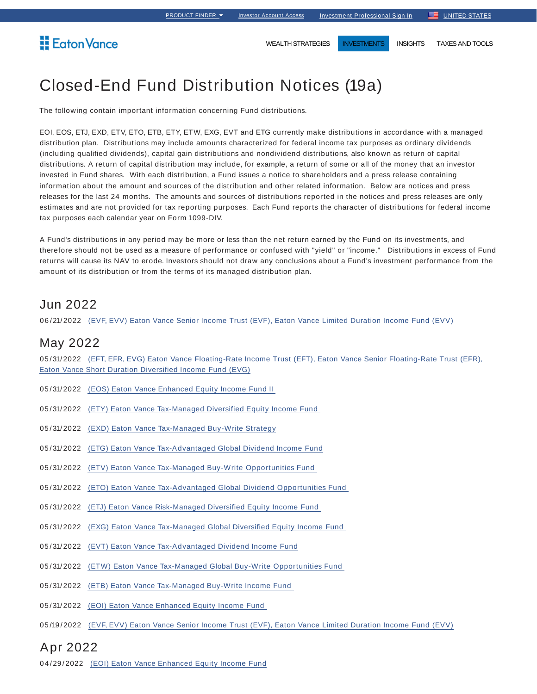**Eaton Vance** 

WEALTH STRATEGIES **INVESTMENTS** INSIGHTS TAXES AND TOOLS

# Closed-End Fund Distribution Notices (19a)

The following contain important information concerning Fund distributions.

EOI, EOS, ETJ, EXD, ETV, ETO, ETB, ETY, ETW, EXG, EVT and ETG currently make distributions in accordance with a managed distribution plan. Distributions may include amounts characterized for federal income tax purposes as ordinary dividends (including qualified dividends), capital gain distributions and nondividend distributions, also known as return of capital distributions. A return of capital distribution may include, for example, a return of some or all of the money that an investor invested in Fund shares. With each distribution, a Fund issues a notice to shareholders and a press release containing information about the amount and sources of the distribution and other related information. Below are notices and press releases for the last 24 months. The amounts and sources of distributions reported in the notices and press releases are only estimates and are not provided for tax reporting purposes. Each Fund reports the character of distributions for federal income tax purposes each calendar year on Form 1099-DIV.

A Fund's distributions in any period may be more or less than the net return earned by the Fund on its investments, and therefore should not be used as a measure of performance or confused with "yield" or "income." Distributions in excess of Fund returns will cause its NAV to erode. Investors should not draw any conclusions about a Fund's investment performance from the amount of its distribution or from the terms of its managed distribution plan.

### Jun 2022

06 /21/2022 (EVF, EVV) Eaton Vance Senior Income Trust (EVF), Eaton Vance Limited Duration Income Fund (EVV)

### May 2022

05/31/2022 (EFT, EFR, EVG) Eaton Vance Floating-Rate Income Trust (EFT), Eaton Vance Senior Floating-Rate Trust (EFR), Eaton Vance Short Duration Diversified Income Fund (EVG)

- 05/31/2022 (EOS) Eaton Vance Enhanced Equity Income Fund II
- 05/31/2022 (ETY) Eaton Vance Tax-Managed Diversified Equity Income Fund
- 05/31/2022 (EXD) Eaton Vance Tax-Managed Buy-Write Strategy
- 05/31/2022 (ETG) Eaton Vance Tax-Advantaged Global Dividend Income Fund
- 05/31/2022 (ETV) Eaton Vance Tax-Managed Buy-Write Opportunities Fund
- 05/31/2022 (ETO) Eaton Vance Tax-Advantaged Global Dividend Opportunities Fund
- 05/31/2022 (ETJ) Eaton Vance Risk-Managed Diversified Equity Income Fund
- 05/31/2022 (EXG) Eaton Vance Tax-Managed Global Diversified Equity Income Fund
- 05/31/2022 (EVT) Eaton Vance Tax-Advantaged Dividend Income Fund
- 05/31/2022 (ETW) Eaton Vance Tax-Managed Global Buy-Write Opportunities Fund
- 05/31/2022 (ETB) Eaton Vance Tax-Managed Buy-Write Income Fund
- 05/31/2022 (EOI) Eaton Vance Enhanced Equity Income Fund
- 05 /19 /2022 (EVF, EVV) Eaton Vance Senior Income Trust (EVF), Eaton Vance Limited Duration Income Fund (EVV)

### Apr 2022

04/29/2022 (EOI) Eaton Vance Enhanced Equity Income Fund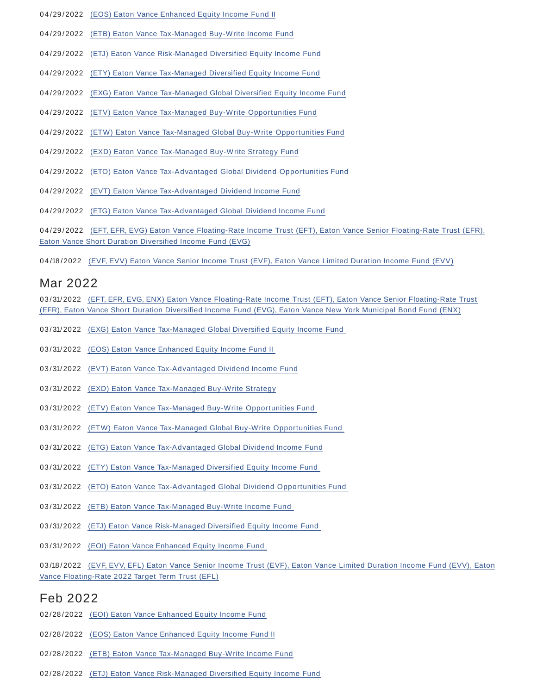- 04/29/2022 (EOS) Eaton Vance Enhanced Equity Income Fund II
- 04/29/2022 (ETB) Eaton Vance Tax-Managed Buy-Write Income Fund
- 04/29/2022 (ETJ) Eaton Vance Risk-Managed Diversified Equity Income Fund
- 04/29/2022 (ETY) Eaton Vance Tax-Managed Diversified Equity Income Fund
- 04/29/2022 (EXG) Eaton Vance Tax-Managed Global Diversified Equity Income Fund
- 04/29/2022 (ETV) Eaton Vance Tax-Managed Buy-Write Opportunities Fund
- 04/29/2022 (ETW) Eaton Vance Tax-Managed Global Buy-Write Opportunities Fund
- 04/29/2022 (EXD) Eaton Vance Tax-Managed Buy-Write Strategy Fund
- 04/29/2022 (ETO) Eaton Vance Tax-Advantaged Global Dividend Opportunities Fund
- 04/29/2022 (EVT) Eaton Vance Tax-Advantaged Dividend Income Fund
- 04/29/2022 (ETG) Eaton Vance Tax-Advantaged Global Dividend Income Fund

04/29/2022 (EFT, EFR, EVG) Eaton Vance Floating-Rate Income Trust (EFT), Eaton Vance Senior Floating-Rate Trust (EFR), Eaton Vance Short Duration Diversified Income Fund (EVG)

04/18/2022 (EVF, EVV) Eaton Vance Senior Income Trust (EVF), Eaton Vance Limited Duration Income Fund (EVV)

### Mar 2022

03/31/2022 (EFT, EFR, EVG, ENX) Eaton Vance Floating-Rate Income Trust (EFT), Eaton Vance Senior Floating-Rate Trust (EFR), Eaton Vance Short Duration Diversified Income Fund (EVG), Eaton Vance New York Municipal Bond Fund (ENX)

- 03/31/2022 (EXG) Eaton Vance Tax-Managed Global Diversified Equity Income Fund
- 03/31/2022 (EOS) Eaton Vance Enhanced Equity Income Fund II
- 03/31/2022 (EVT) Eaton Vance Tax-Advantaged Dividend Income Fund
- 03/31/2022 (EXD) Eaton Vance Tax-Managed Buy-Write Strategy
- 03/31/2022 (ETV) Eaton Vance Tax-Managed Buy-Write Opportunities Fund
- 03/31/2022 (ETW) Eaton Vance Tax-Managed Global Buy-Write Opportunities Fund
- 03/31/2022 (ETG) Eaton Vance Tax-Advantaged Global Dividend Income Fund
- 03/31/2022 (ETY) Eaton Vance Tax-Managed Diversified Equity Income Fund
- 03/31/2022 (ETO) Eaton Vance Tax-Advantaged Global Dividend Opportunities Fund
- 03/31/2022 (ETB) Eaton Vance Tax-Managed Buy-Write Income Fund
- 03/31/2022 (ETJ) Eaton Vance Risk-Managed Diversified Equity Income Fund
- 03/31/2022 (EOI) Eaton Vance Enhanced Equity Income Fund

03/18/2022 (EVF, EVV, EFL) Eaton Vance Senior Income Trust (EVF), Eaton Vance Limited Duration Income Fund (EVV), Eaton Vance Floating-Rate 2022 Target Term Trust (EFL)

### Feb 2022

- 02/28/2022 (EOI) Eaton Vance Enhanced Equity Income Fund
- 02/28/2022 (EOS) Eaton Vance Enhanced Equity Income Fund II
- 02/28/2022 (ETB) Eaton Vance Tax-Managed Buy-Write Income Fund
- 02/28/2022 (ETJ) Eaton Vance Risk-Managed Diversified Equity Income Fund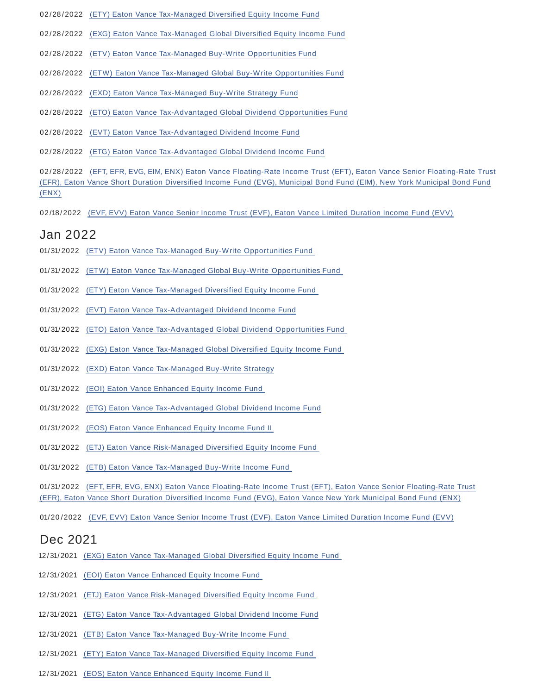- 02/28/2022 (ETY) Eaton Vance Tax-Managed Diversified Equity Income Fund
- 02/28/2022 (EXG) Eaton Vance Tax-Managed Global Diversified Equity Income Fund
- 02/28/2022 (ETV) Eaton Vance Tax-Managed Buy-Write Opportunities Fund
- 02/28/2022 (ETW) Eaton Vance Tax-Managed Global Buy-Write Opportunities Fund
- 02/28/2022 (EXD) Eaton Vance Tax-Managed Buy-Write Strategy Fund
- 02/28/2022 (ETO) Eaton Vance Tax-Advantaged Global Dividend Opportunities Fund
- 02/28/2022 (EVT) Eaton Vance Tax-Advantaged Dividend Income Fund
- 02/28/2022 (ETG) Eaton Vance Tax-Advantaged Global Dividend Income Fund

02/28/2022 (EFT, EFR, EVG, EIM, ENX) Eaton Vance Floating-Rate Income Trust (EFT), Eaton Vance Senior Floating-Rate Trust (EFR), Eaton Vance Short Duration Diversified Income Fund (EVG), Municipal Bond Fund (EIM), New York Municipal Bond Fund (ENX)

02/18/2022 (EVF, EVV) Eaton Vance Senior Income Trust (EVF), Eaton Vance Limited Duration Income Fund (EVV)

### Jan 2022

- 01/31/2022 (ETV) Eaton Vance Tax-Managed Buy-Write Opportunities Fund
- 01/31/2022 (ETW) Eaton Vance Tax-Managed Global Buy-Write Opportunities Fund
- 01/ 31/2022 (ETY) Eaton Vance Tax-Managed Diversified Equity Income Fund
- 01/ 31/2022 (EVT) Eaton Vance Tax-Advantaged Dividend Income Fund
- 01/ 31/2022 (ETO) Eaton Vance Tax-Advantaged Global Dividend Opportunities Fund
- 01/ 31/2022 (EXG) Eaton Vance Tax-Managed Global Diversified Equity Income Fund
- 01/ 31/2022 (EXD) Eaton Vance Tax-Managed Buy-Write Strategy
- 01/ 31/2022 (EOI) Eaton Vance Enhanced Equity Income Fund
- 01/ 31/2022 (ETG) Eaton Vance Tax-Advantaged Global Dividend Income Fund
- 01/ 31/2022 (EOS) Eaton Vance Enhanced Equity Income Fund II
- 01/ 31/2022 (ETJ) Eaton Vance Risk-Managed Diversified Equity Income Fund
- 01/ 31/2022 (ETB) Eaton Vance Tax-Managed Buy-Write Income Fund

01/ 31/2022 (EFT, EFR, EVG, ENX) Eaton Vance Floating-Rate Income Trust (EFT), Eaton Vance Senior Floating-Rate Trust (EFR), Eaton Vance Short Duration Diversified Income Fund (EVG), Eaton Vance New York Municipal Bond Fund (ENX)

01/20/2022 (EVF, EVV) Eaton Vance Senior Income Trust (EVF), Eaton Vance Limited Duration Income Fund (EVV)

### Dec 2021

- 12/ 31/2021 (EXG) Eaton Vance Tax-Managed Global Diversified Equity Income Fund
- 12/ 31/2021 (EOI) Eaton Vance Enhanced Equity Income Fund
- 12/ 31/2021 (ETJ) Eaton Vance Risk-Managed Diversified Equity Income Fund
- 12/ 31/2021 (ETG) Eaton Vance Tax-Advantaged Global Dividend Income Fund
- 12/ 31/2021 (ETB) Eaton Vance Tax-Managed Buy-Write Income Fund
- 12/31/2021 (ETY) Eaton Vance Tax-Managed Diversified Equity Income Fund
- 12/ 31/2021 (EOS) Eaton Vance Enhanced Equity Income Fund II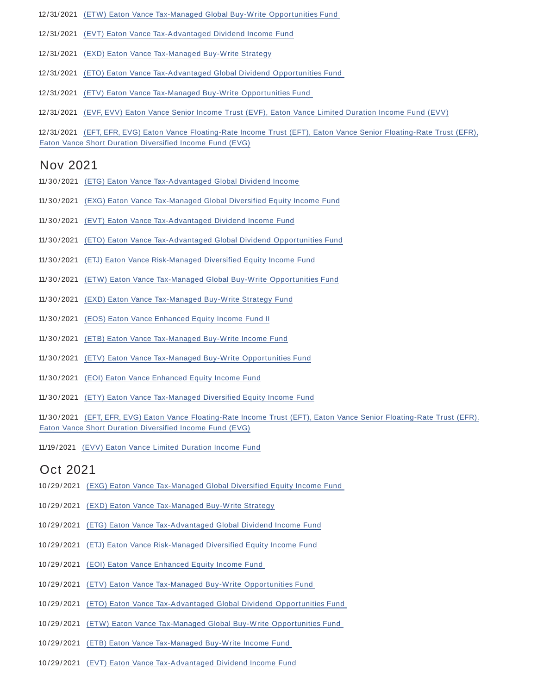- 12/31/2021 (ETW) Eaton Vance Tax-Managed Global Buy-Write Opportunities Fund
- 12/ 31/2021 (EVT) Eaton Vance Tax-Advantaged Dividend Income Fund
- 12/ 31/2021 (EXD) Eaton Vance Tax-Managed Buy-Write Strategy
- 12/ 31/2021 (ETO) Eaton Vance Tax-Advantaged Global Dividend Opportunities Fund
- 12/ 31/2021 (ETV) Eaton Vance Tax-Managed Buy-Write Opportunities Fund
- 12/ 31/2021 (EVF, EVV) Eaton Vance Senior Income Trust (EVF), Eaton Vance Limited Duration Income Fund (EVV)

12/ 31/2021 (EFT, EFR, EVG) Eaton Vance Floating-Rate Income Trust (EFT), Eaton Vance Senior Floating-Rate Trust (EFR), Eaton Vance Short Duration Diversified Income Fund (EVG)

## Nov 2021

- 11/30/2021 (ETG) Eaton Vance Tax-Advantaged Global Dividend Income
- 11/ 30 /2021 (EXG) Eaton Vance Tax-Managed Global Diversified Equity Income Fund
- 11/ 30 /2021 (EVT) Eaton Vance Tax-Advantaged Dividend Income Fund
- 11/ 30 /2021 (ETO) Eaton Vance Tax-Advantaged Global Dividend Opportunities Fund
- 11/ 30 /2021 (ETJ) Eaton Vance Risk-Managed Diversified Equity Income Fund
- 11/ 30 /2021 (ETW) Eaton Vance Tax-Managed Global Buy-Write Opportunities Fund
- 11/ 30 /2021 (EXD) Eaton Vance Tax-Managed Buy-Write Strategy Fund
- 11/ 30 /2021 (EOS) Eaton Vance Enhanced Equity Income Fund II
- 11/ 30 /2021 (ETB) Eaton Vance Tax-Managed Buy-Write Income Fund
- 11/ 30 /2021 (ETV) Eaton Vance Tax-Managed Buy-Write Opportunities Fund
- 11/30/2021 (EOI) Eaton Vance Enhanced Equity Income Fund
- 11/ 30 /2021 (ETY) Eaton Vance Tax-Managed Diversified Equity Income Fund

11/ 30 /2021 (EFT, EFR, EVG) Eaton Vance Floating-Rate Income Trust (EFT), Eaton Vance Senior Floating-Rate Trust (EFR). Eaton Vance Short Duration Diversified Income Fund (EVG)

11/19 /2021 (EVV) Eaton Vance Limited Duration Income Fund

# Oct 2021

- 10 /29 /2021 (EXG) Eaton Vance Tax-Managed Global Diversified Equity Income Fund
- 10 /29 /2021 (EXD) Eaton Vance Tax-Managed Buy-Write Strategy
- 10 /29 /2021 (ETG) Eaton Vance Tax-Advantaged Global Dividend Income Fund
- 10 /29 /2021 (ETJ) Eaton Vance Risk-Managed Diversified Equity Income Fund
- 10 /29 /2021 (EOI) Eaton Vance Enhanced Equity Income Fund
- 10 /29 /2021 (ETV) Eaton Vance Tax-Managed Buy-Write Opportunities Fund
- 10 /29 /2021 (ETO) Eaton Vance Tax-Advantaged Global Dividend Opportunities Fund
- 10 /29 /2021 (ETW) Eaton Vance Tax-Managed Global Buy-Write Opportunities Fund
- 10 /29 /2021 (ETB) Eaton Vance Tax-Managed Buy-Write Income Fund
- 10 /29 /2021 (EVT) Eaton Vance Tax-Advantaged Dividend Income Fund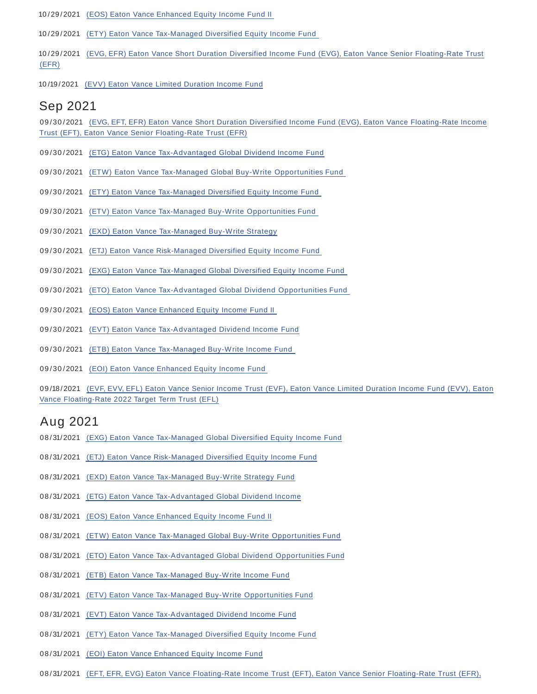10 /29 /2021 (EOS) Eaton Vance Enhanced Equity Income Fund II

10 /29 /2021 (ETY) Eaton Vance Tax-Managed Diversified Equity Income Fund

- 10 /29 /2021 (EVG, EFR) Eaton Vance Short Duration Diversified Income Fund (EVG), Eaton Vance Senior Floating-Rate Trust (EFR)
- 10 /19 /2021 (EVV) Eaton Vance Limited Duration Income Fund

### Sep 2021

09/30/2021 (EVG, EFT, EFR) Eaton Vance Short Duration Diversified Income Fund (EVG), Eaton Vance Floating-Rate Income Trust (EFT), Eaton Vance Senior Floating-Rate Trust (EFR)

- 09/30/2021 (ETG) Eaton Vance Tax-Advantaged Global Dividend Income Fund
- 09/30/2021 (ETW) Eaton Vance Tax-Managed Global Buy-Write Opportunities Fund
- 09/30/2021 (ETY) Eaton Vance Tax-Managed Diversified Equity Income Fund
- 09/30/2021 (ETV) Eaton Vance Tax-Managed Buy-Write Opportunities Fund
- 09/30/2021 (EXD) Eaton Vance Tax-Managed Buy-Write Strategy
- 09/30/2021 (ETJ) Eaton Vance Risk-Managed Diversified Equity Income Fund
- 09/30/2021 (EXG) Eaton Vance Tax-Managed Global Diversified Equity Income Fund
- 09/30/2021 (ETO) Eaton Vance Tax-Advantaged Global Dividend Opportunities Fund
- 09/30/2021 (EOS) Eaton Vance Enhanced Equity Income Fund II
- 09/30/2021 (EVT) Eaton Vance Tax-Advantaged Dividend Income Fund
- 09/30/2021 (ETB) Eaton Vance Tax-Managed Buy-Write Income Fund
- 09/30/2021 (EOI) Eaton Vance Enhanced Equity Income Fund

09/18/2021 (EVF, EVV, EFL) Eaton Vance Senior Income Trust (EVF), Eaton Vance Limited Duration Income Fund (EVV), Eaton Vance Floating-Rate 2022 Target Term Trust (EFL)

### Aug 2021

- 08/31/2021 (EXG) Eaton Vance Tax-Managed Global Diversified Equity Income Fund
- 08/31/2021 (ETJ) Eaton Vance Risk-Managed Diversified Equity Income Fund
- 08/31/2021 (EXD) Eaton Vance Tax-Managed Buy-Write Strategy Fund
- 08/31/2021 (ETG) Eaton Vance Tax-Advantaged Global Dividend Income
- 08/31/2021 (EOS) Eaton Vance Enhanced Equity Income Fund II
- 08/31/2021 (ETW) Eaton Vance Tax-Managed Global Buy-Write Opportunities Fund
- 08/31/2021 (ETO) Eaton Vance Tax-Advantaged Global Dividend Opportunities Fund
- 08/31/2021 (ETB) Eaton Vance Tax-Managed Buy-Write Income Fund
- 08/31/2021 (ETV) Eaton Vance Tax-Managed Buy-Write Opportunities Fund
- 08/31/2021 (EVT) Eaton Vance Tax-Advantaged Dividend Income Fund
- 08/31/2021 (ETY) Eaton Vance Tax-Managed Diversified Equity Income Fund
- 08/31/2021 (EOI) Eaton Vance Enhanced Equity Income Fund
- 08/31/2021 (EFT, EFR, EVG) Eaton Vance Floating-Rate Income Trust (EFT), Eaton Vance Senior Floating-Rate Trust (EFR),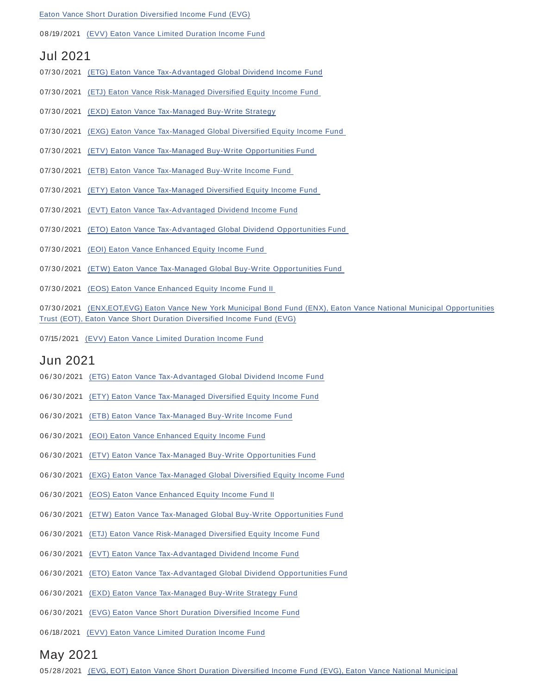#### Eaton Vance Short Duration Diversified Income Fund (EVG)

#### 08 /19 /2021 (EVV) Eaton Vance Limited Duration Income Fund

### Jul 2021

- 07/30/2021 (ETG) Eaton Vance Tax-Advantaged Global Dividend Income Fund
- 07/30/2021 (ETJ) Eaton Vance Risk-Managed Diversified Equity Income Fund
- 07/30/2021 (EXD) Eaton Vance Tax-Managed Buy-Write Strategy
- 07/30/2021 (EXG) Eaton Vance Tax-Managed Global Diversified Equity Income Fund
- 07/30/2021 (ETV) Eaton Vance Tax-Managed Buy-Write Opportunities Fund
- 07/30/2021 (ETB) Eaton Vance Tax-Managed Buy-Write Income Fund
- 07/30/2021 (ETY) Eaton Vance Tax-Managed Diversified Equity Income Fund
- 07/ 30 /2021 (EVT) Eaton Vance Tax-Advantaged Dividend Income Fund
- 07/30/2021 (ETO) Eaton Vance Tax-Advantaged Global Dividend Opportunities Fund
- 07/30/2021 (EOI) Eaton Vance Enhanced Equity Income Fund
- 07/30/2021 (ETW) Eaton Vance Tax-Managed Global Buy-Write Opportunities Fund
- 07/30/2021 (EOS) Eaton Vance Enhanced Equity Income Fund II
- 07/30/2021 (ENX,EOT,EVG) Eaton Vance New York Municipal Bond Fund (ENX), Eaton Vance National Municipal Opportunities Trust (EOT), Eaton Vance Short Duration Diversified Income Fund (EVG)
- 07/15/2021 (EVV) Eaton Vance Limited Duration Income Fund

### Jun 2021

- 06/30/2021 (ETG) Eaton Vance Tax-Advantaged Global Dividend Income Fund
- 06/30/2021 (ETY) Eaton Vance Tax-Managed Diversified Equity Income Fund
- 06/30/2021 (ETB) Eaton Vance Tax-Managed Buy-Write Income Fund
- 06/30/2021 (EOI) Eaton Vance Enhanced Equity Income Fund
- 06/30/2021 (ETV) Eaton Vance Tax-Managed Buy-Write Opportunities Fund
- 06/30/2021 (EXG) Eaton Vance Tax-Managed Global Diversified Equity Income Fund
- 06/30/2021 (EOS) Eaton Vance Enhanced Equity Income Fund II
- 06/30/2021 (ETW) Eaton Vance Tax-Managed Global Buy-Write Opportunities Fund
- 06/30/2021 (ETJ) Eaton Vance Risk-Managed Diversified Equity Income Fund
- 06/30/2021 (EVT) Eaton Vance Tax-Advantaged Dividend Income Fund
- 06/30/2021 (ETO) Eaton Vance Tax-Advantaged Global Dividend Opportunities Fund
- 06/30/2021 (EXD) Eaton Vance Tax-Managed Buy-Write Strategy Fund
- 06/30/2021 (EVG) Eaton Vance Short Duration Diversified Income Fund
- 06 /18 /2021 (EVV) Eaton Vance Limited Duration Income Fund

## May 2021

05/28/2021 (EVG, EOT) Eaton Vance Short Duration Diversified Income Fund (EVG), Eaton Vance National Municipal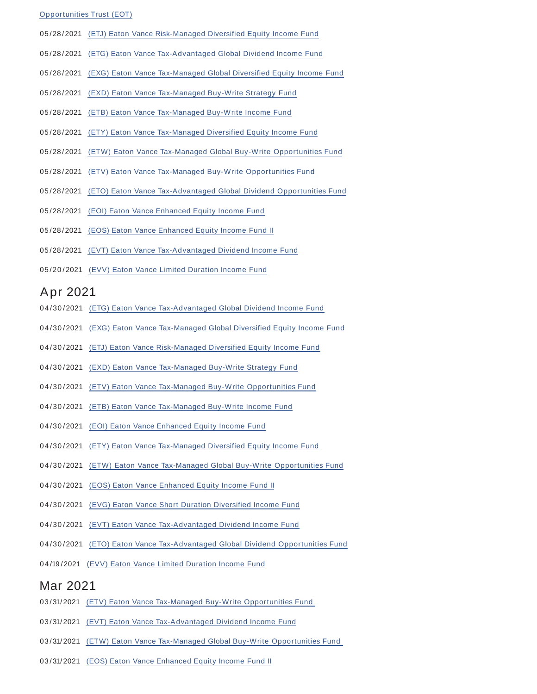#### Opportunities Trust (EOT)

- 05 /28 /2021 (ETJ) Eaton Vance Risk-Managed Diversified Equity Income Fund
- 05 /28 /2021 (ETG) Eaton Vance Tax-Advantaged Global Dividend Income Fund
- 05/28/2021 (EXG) Eaton Vance Tax-Managed Global Diversified Equity Income Fund
- 05/28/2021 (EXD) Eaton Vance Tax-Managed Buy-Write Strategy Fund
- 05 /28 /2021 (ETB) Eaton Vance Tax-Managed Buy-Write Income Fund
- 05 /28 /2021 (ETY) Eaton Vance Tax-Managed Diversified Equity Income Fund
- 05/28/2021 (ETW) Eaton Vance Tax-Managed Global Buy-Write Opportunities Fund
- 05 /28 /2021 (ETV) Eaton Vance Tax-Managed Buy-Write Opportunities Fund
- 05/28/2021 (ETO) Eaton Vance Tax-Advantaged Global Dividend Opportunities Fund
- 05 /28 /2021 (EOI) Eaton Vance Enhanced Equity Income Fund
- 05/28/2021 (EOS) Eaton Vance Enhanced Equity Income Fund II
- 05/28/2021 (EVT) Eaton Vance Tax-Advantaged Dividend Income Fund
- 05/20/2021 (EVV) Eaton Vance Limited Duration Income Fund

### Apr 2021

- 04/30/2021 (ETG) Eaton Vance Tax-Advantaged Global Dividend Income Fund
- 04/30/2021 (EXG) Eaton Vance Tax-Managed Global Diversified Equity Income Fund
- 04/30/2021 (ETJ) Eaton Vance Risk-Managed Diversified Equity Income Fund
- 04/30/2021 (EXD) Eaton Vance Tax-Managed Buy-Write Strategy Fund
- 04/30/2021 (ETV) Eaton Vance Tax-Managed Buy-Write Opportunities Fund
- 04/30/2021 (ETB) Eaton Vance Tax-Managed Buy-Write Income Fund
- 04/30/2021 (EOI) Eaton Vance Enhanced Equity Income Fund
- 04/30/2021 (ETY) Eaton Vance Tax-Managed Diversified Equity Income Fund
- 04/30/2021 (ETW) Eaton Vance Tax-Managed Global Buy-Write Opportunities Fund
- 04/30/2021 (EOS) Eaton Vance Enhanced Equity Income Fund II
- 04/30/2021 (EVG) Eaton Vance Short Duration Diversified Income Fund
- 04/30/2021 (EVT) Eaton Vance Tax-Advantaged Dividend Income Fund
- 04/30/2021 (ETO) Eaton Vance Tax-Advantaged Global Dividend Opportunities Fund
- 04/19/2021 (EVV) Eaton Vance Limited Duration Income Fund

### Mar 2021

- 03/31/2021 (ETV) Eaton Vance Tax-Managed Buy-Write Opportunities Fund
- 03/31/2021 (EVT) Eaton Vance Tax-Advantaged Dividend Income Fund
- 03/31/2021 (ETW) Eaton Vance Tax-Managed Global Buy-Write Opportunities Fund
- 03/31/2021 (EOS) Eaton Vance Enhanced Equity Income Fund II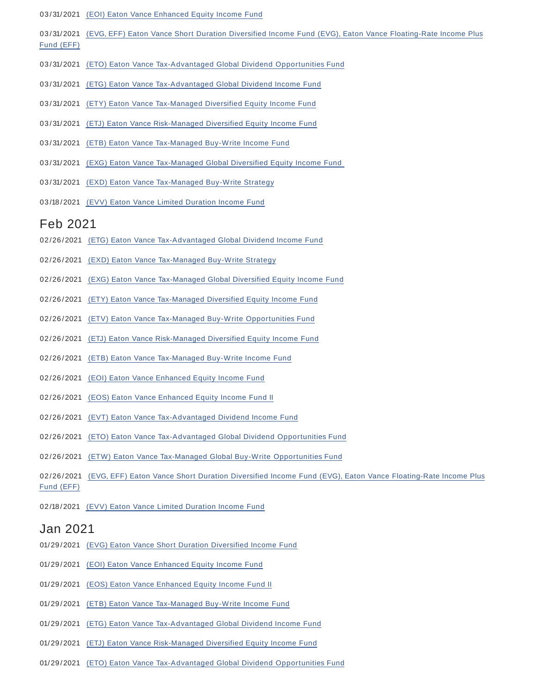- 03/31/2021 (EOI) Eaton Vance Enhanced Equity Income Fund
- 03/31/2021 (EVG, EFF) Eaton Vance Short Duration Diversified Income Fund (EVG), Eaton Vance Floating-Rate Income Plus Fund (EFF)
- 03/31/2021 (ETO) Eaton Vance Tax-Advantaged Global Dividend Opportunities Fund
- 03/31/2021 (ETG) Eaton Vance Tax-Advantaged Global Dividend Income Fund
- 03/31/2021 (ETY) Eaton Vance Tax-Managed Diversified Equity Income Fund
- 03/31/2021 (ETJ) Eaton Vance Risk-Managed Diversified Equity Income Fund
- 03/31/2021 (ETB) Eaton Vance Tax-Managed Buy-Write Income Fund
- 03/31/2021 (EXG) Eaton Vance Tax-Managed Global Diversified Equity Income Fund
- 03/31/2021 (EXD) Eaton Vance Tax-Managed Buy-Write Strategy
- 03/18/2021 (EVV) Eaton Vance Limited Duration Income Fund

#### Feb 2021

- 02/26/2021 (ETG) Eaton Vance Tax-Advantaged Global Dividend Income Fund
- 02/26/2021 (EXD) Eaton Vance Tax-Managed Buy-Write Strategy
- 02/26/2021 (EXG) Eaton Vance Tax-Managed Global Diversified Equity Income Fund
- 02/26/2021 (ETY) Eaton Vance Tax-Managed Diversified Equity Income Fund
- 02/26/2021 (ETV) Eaton Vance Tax-Managed Buy-Write Opportunities Fund
- 02/26/2021 (ETJ) Eaton Vance Risk-Managed Diversified Equity Income Fund
- 02/26/2021 (ETB) Eaton Vance Tax-Managed Buy-Write Income Fund
- 02/26/2021 (EOI) Eaton Vance Enhanced Equity Income Fund
- 02/26/2021 (EOS) Eaton Vance Enhanced Equity Income Fund II
- 02/26/2021 (EVT) Eaton Vance Tax-Advantaged Dividend Income Fund
- 02/26 /2021 (ETO) Eaton Vance Tax-Advantaged Global Dividend Opportunities Fund
- 02/26/2021 (ETW) Eaton Vance Tax-Managed Global Buy-Write Opportunities Fund
- 02/26/2021 (EVG, EFF) Eaton Vance Short Duration Diversified Income Fund (EVG), Eaton Vance Floating-Rate Income Plus Fund (EFF)
- 02/18/2021 (EVV) Eaton Vance Limited Duration Income Fund

### Jan 2021

- 01/29/2021 (EVG) Eaton Vance Short Duration Diversified Income Fund
- 01/29/2021 (EOI) Eaton Vance Enhanced Equity Income Fund
- 01/29/2021 (EOS) Eaton Vance Enhanced Equity Income Fund II
- 01/29 /2021 (ETB) Eaton Vance Tax-Managed Buy-Write Income Fund
- 01/29 /2021 (ETG) Eaton Vance Tax-Advantaged Global Dividend Income Fund
- 01/29 /2021 (ETJ) Eaton Vance Risk-Managed Diversified Equity Income Fund
- 01/29 /2021 (ETO) Eaton Vance Tax-Advantaged Global Dividend Opportunities Fund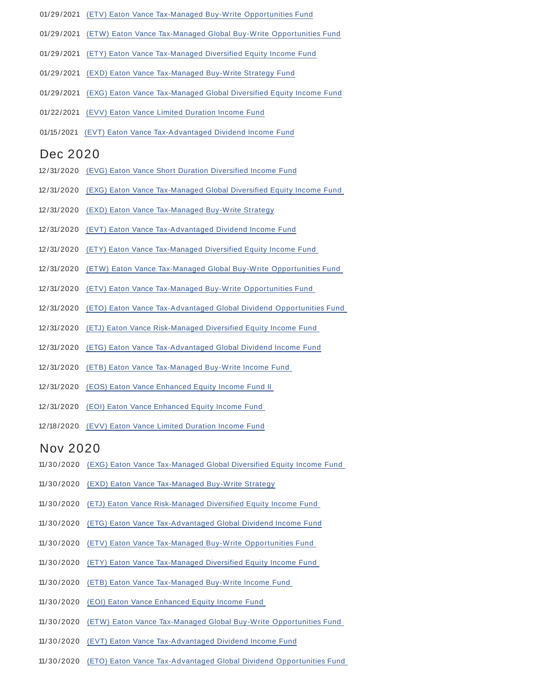- 01/29 /2021 (ETV) Eaton Vance Tax-Managed Buy-Write Opportunities Fund
- 01/29/2021 (ETW) Eaton Vance Tax-Managed Global Buy-Write Opportunities Fund
- 01/29 /2021 (ETY) Eaton Vance Tax-Managed Diversified Equity Income Fund
- 01/29 /2021 (EXD) Eaton Vance Tax-Managed Buy-Write Strategy Fund
- 01/29 /2021 (EXG) Eaton Vance Tax-Managed Global Diversified Equity Income Fund
- 01/22/2021 (EVV) Eaton Vance Limited Duration Income Fund
- 01/15 /2021 (EVT) Eaton Vance Tax-Advantaged Dividend Income Fund

#### Dec 2020

- 12/ 31/2020 (EVG) Eaton Vance Short Duration Diversified Income Fund
- 12/ 31/2020 (EXG) Eaton Vance Tax-Managed Global Diversified Equity Income Fund
- 12/ 31/2020 (EXD) Eaton Vance Tax-Managed Buy-Write Strategy
- 12/ 31/2020 (EVT) Eaton Vance Tax-Advantaged Dividend Income Fund
- 12/ 31/2020 (ETY) Eaton Vance Tax-Managed Diversified Equity Income Fund
- 12/ 31/2020 (ETW) Eaton Vance Tax-Managed Global Buy-Write Opportunities Fund
- 12/ 31/2020 (ETV) Eaton Vance Tax-Managed Buy-Write Opportunities Fund
- 12/ 31/2020 (ETO) Eaton Vance Tax-Advantaged Global Dividend Opportunities Fund
- 12/ 31/2020 (ETJ) Eaton Vance Risk-Managed Diversified Equity Income Fund
- 12/ 31/2020 (ETG) Eaton Vance Tax-Advantaged Global Dividend Income Fund
- 12/ 31/2020 (ETB) Eaton Vance Tax-Managed Buy-Write Income Fund
- 12/ 31/2020 (EOS) Eaton Vance Enhanced Equity Income Fund II
- 12/ 31/2020 (EOI) Eaton Vance Enhanced Equity Income Fund
- 12/18 /2020 (EVV) Eaton Vance Limited Duration Income Fund

### Nov 2020

- 11/ 30 /2020 (EXG) Eaton Vance Tax-Managed Global Diversified Equity Income Fund
- 11/ 30 /2020 (EXD) Eaton Vance Tax-Managed Buy-Write Strategy
- 11/ 30 /2020 (ETJ) Eaton Vance Risk-Managed Diversified Equity Income Fund
- 11/ 30 /2020 (ETG) Eaton Vance Tax-Advantaged Global Dividend Income Fund
- 11/ 30 /2020 (ETV) Eaton Vance Tax-Managed Buy-Write Opportunities Fund
- 11/ 30 /2020 (ETY) Eaton Vance Tax-Managed Diversified Equity Income Fund
- 11/ 30 /2020 (ETB) Eaton Vance Tax-Managed Buy-Write Income Fund
- 11/30/2020 (EOI) Eaton Vance Enhanced Equity Income Fund
- 11/ 30 /2020 (ETW) Eaton Vance Tax-Managed Global Buy-Write Opportunities Fund
- 11/30/2020 (EVT) Eaton Vance Tax-Advantaged Dividend Income Fund
- 11/ 30 /2020 (ETO) Eaton Vance Tax-Advantaged Global Dividend Opportunities Fund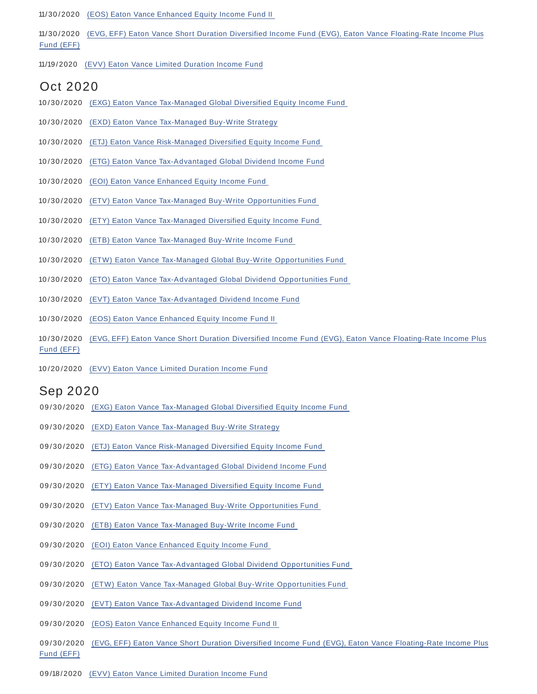11/30/2020 (EOS) Eaton Vance Enhanced Equity Income Fund II

11/ 30 /2020 (EVG, EFF) Eaton Vance Short Duration Diversified Income Fund (EVG), Eaton Vance Floating-Rate Income Plus Fund (EFF)

11/19 /2020 (EVV) Eaton Vance Limited Duration Income Fund

### Oct 2020

- 10/30/2020 (EXG) Eaton Vance Tax-Managed Global Diversified Equity Income Fund
- 10/30/2020 (EXD) Eaton Vance Tax-Managed Buy-Write Strategy
- 10 / 30 /2020 (ETJ) Eaton Vance Risk-Managed Diversified Equity Income Fund
- 10 / 30 /2020 (ETG) Eaton Vance Tax-Advantaged Global Dividend Income Fund
- 10/30/2020 (EOI) Eaton Vance Enhanced Equity Income Fund
- 10/30/2020 (ETV) Eaton Vance Tax-Managed Buy-Write Opportunities Fund
- 10 / 30 /2020 (ETY) Eaton Vance Tax-Managed Diversified Equity Income Fund
- 10 / 30 /2020 (ETB) Eaton Vance Tax-Managed Buy-Write Income Fund
- 10/30/2020 (ETW) Eaton Vance Tax-Managed Global Buy-Write Opportunities Fund
- 10/30/2020 (ETO) Eaton Vance Tax-Advantaged Global Dividend Opportunities Fund
- 10/30/2020 (EVT) Eaton Vance Tax-Advantaged Dividend Income Fund
- 10/30/2020 (EOS) Eaton Vance Enhanced Equity Income Fund II
- 10 / 30 /2020 (EVG, EFF) Eaton Vance Short Duration Diversified Income Fund (EVG), Eaton Vance Floating-Rate Income Plus Fund (EFF)
- 10 /20 /2020 (EVV) Eaton Vance Limited Duration Income Fund

### Sep 2020

- 09/30/2020 (EXG) Eaton Vance Tax-Managed Global Diversified Equity Income Fund
- 09/30/2020 (EXD) Eaton Vance Tax-Managed Buy-Write Strategy
- 09/30/2020 (ETJ) Eaton Vance Risk-Managed Diversified Equity Income Fund
- 09/30/2020 (ETG) Eaton Vance Tax-Advantaged Global Dividend Income Fund
- 09/30/2020 (ETY) Eaton Vance Tax-Managed Diversified Equity Income Fund
- 09/30/2020 (ETV) Eaton Vance Tax-Managed Buy-Write Opportunities Fund
- 09/30/2020 (ETB) Eaton Vance Tax-Managed Buy-Write Income Fund
- 09/30/2020 (EOI) Eaton Vance Enhanced Equity Income Fund
- 09/30/2020 (ETO) Eaton Vance Tax-Advantaged Global Dividend Opportunities Fund
- 09/30/2020 (ETW) Eaton Vance Tax-Managed Global Buy-Write Opportunities Fund
- 09/30/2020 (EVT) Eaton Vance Tax-Advantaged Dividend Income Fund
- 09/30/2020 (EOS) Eaton Vance Enhanced Equity Income Fund II
- 09/30/2020 (EVG, EFF) Eaton Vance Short Duration Diversified Income Fund (EVG), Eaton Vance Floating-Rate Income Plus Fund (EFF)
- 09 /18 /2020 (EVV) Eaton Vance Limited Duration Income Fund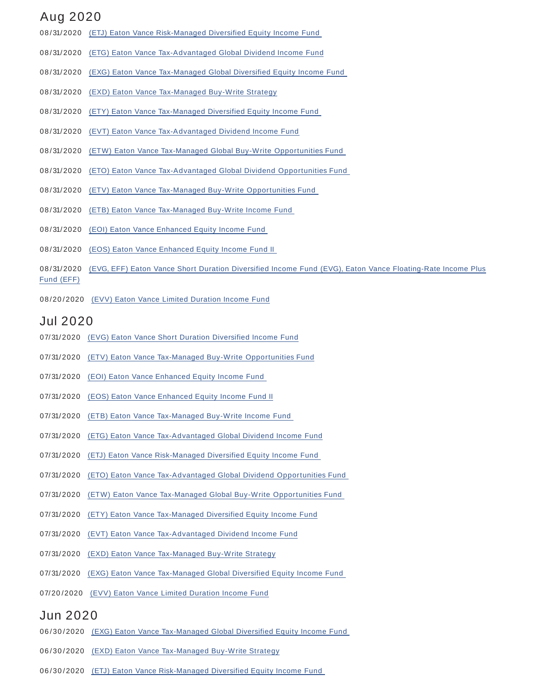## Aug 2020

- 08/31/2020 (ETJ) Eaton Vance Risk-Managed Diversified Equity Income Fund
- 08/31/2020 (ETG) Eaton Vance Tax-Advantaged Global Dividend Income Fund
- 08/31/2020 (EXG) Eaton Vance Tax-Managed Global Diversified Equity Income Fund
- 08/31/2020 (EXD) Eaton Vance Tax-Managed Buy-Write Strategy
- 08/31/2020 (ETY) Eaton Vance Tax-Managed Diversified Equity Income Fund
- 08/31/2020 (EVT) Eaton Vance Tax-Advantaged Dividend Income Fund
- 08/31/2020 (ETW) Eaton Vance Tax-Managed Global Buy-Write Opportunities Fund
- 08/31/2020 (ETO) Eaton Vance Tax-Advantaged Global Dividend Opportunities Fund
- 08/31/2020 (ETV) Eaton Vance Tax-Managed Buy-Write Opportunities Fund
- 08/31/2020 (ETB) Eaton Vance Tax-Managed Buy-Write Income Fund
- 08/31/2020 (EOI) Eaton Vance Enhanced Equity Income Fund
- 08/31/2020 (EOS) Eaton Vance Enhanced Equity Income Fund II
- 08/31/2020 (EVG, EFF) Eaton Vance Short Duration Diversified Income Fund (EVG), Eaton Vance Floating-Rate Income Plus Fund (EFF)
- 08/20/2020 (EVV) Eaton Vance Limited Duration Income Fund

### Jul 2020

- 07/ 31/2020 (EVG) Eaton Vance Short Duration Diversified Income Fund
- 07/ 31/2020 (ETV) Eaton Vance Tax-Managed Buy-Write Opportunities Fund
- 07/31/2020 (EOI) Eaton Vance Enhanced Equity Income Fund
- 07/31/2020 (EOS) Eaton Vance Enhanced Equity Income Fund II
- 07/ 31/2020 (ETB) Eaton Vance Tax-Managed Buy-Write Income Fund
- 07/31/2020 (ETG) Eaton Vance Tax-Advantaged Global Dividend Income Fund
- 07/ 31/2020 (ETJ) Eaton Vance Risk-Managed Diversified Equity Income Fund
- 07/31/2020 (ETO) Eaton Vance Tax-Advantaged Global Dividend Opportunities Fund
- 07/31/2020 (ETW) Eaton Vance Tax-Managed Global Buy-Write Opportunities Fund
- 07/31/2020 (ETY) Eaton Vance Tax-Managed Diversified Equity Income Fund
- 07/ 31/2020 (EVT) Eaton Vance Tax-Advantaged Dividend Income Fund
- 07/ 31/2020 (EXD) Eaton Vance Tax-Managed Buy-Write Strategy
- 07/31/2020 (EXG) Eaton Vance Tax-Managed Global Diversified Equity Income Fund
- 07/20/2020 (EVV) Eaton Vance Limited Duration Income Fund

### Jun 2020

- 06/30/2020 (EXG) Eaton Vance Tax-Managed Global Diversified Equity Income Fund
- 06/30/2020 (EXD) Eaton Vance Tax-Managed Buy-Write Strategy
- 06/30/2020 (ETJ) Eaton Vance Risk-Managed Diversified Equity Income Fund